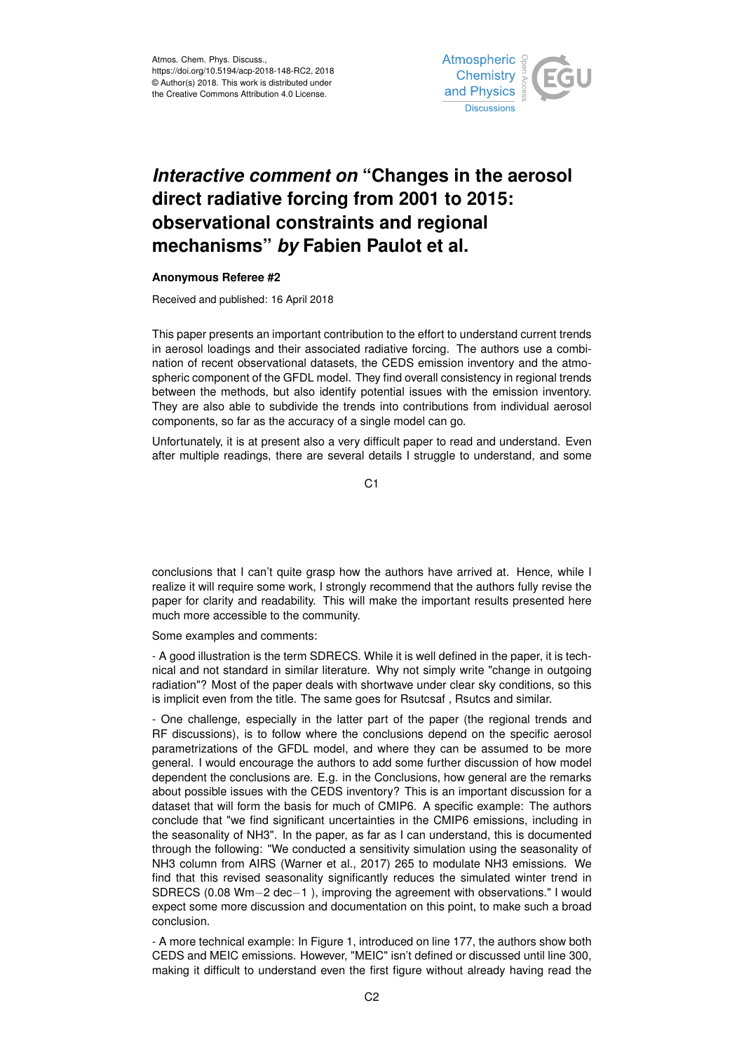

## *Interactive comment on* **"Changes in the aerosol direct radiative forcing from 2001 to 2015: observational constraints and regional mechanisms"** *by* **Fabien Paulot et al.**

## **Anonymous Referee #2**

Received and published: 16 April 2018

This paper presents an important contribution to the effort to understand current trends in aerosol loadings and their associated radiative forcing. The authors use a combination of recent observational datasets, the CEDS emission inventory and the atmospheric component of the GFDL model. They find overall consistency in regional trends between the methods, but also identify potential issues with the emission inventory. They are also able to subdivide the trends into contributions from individual aerosol components, so far as the accuracy of a single model can go.

Unfortunately, it is at present also a very difficult paper to read and understand. Even after multiple readings, there are several details I struggle to understand, and some

C<sub>1</sub>

conclusions that I can't quite grasp how the authors have arrived at. Hence, while I realize it will require some work, I strongly recommend that the authors fully revise the paper for clarity and readability. This will make the important results presented here much more accessible to the community.

Some examples and comments:

- A good illustration is the term SDRECS. While it is well defined in the paper, it is technical and not standard in similar literature. Why not simply write "change in outgoing radiation"? Most of the paper deals with shortwave under clear sky conditions, so this is implicit even from the title. The same goes for Rsutcsaf , Rsutcs and similar.

- One challenge, especially in the latter part of the paper (the regional trends and RF discussions), is to follow where the conclusions depend on the specific aerosol parametrizations of the GFDL model, and where they can be assumed to be more general. I would encourage the authors to add some further discussion of how model dependent the conclusions are. E.g. in the Conclusions, how general are the remarks about possible issues with the CEDS inventory? This is an important discussion for a dataset that will form the basis for much of CMIP6. A specific example: The authors conclude that "we find significant uncertainties in the CMIP6 emissions, including in the seasonality of NH3". In the paper, as far as I can understand, this is documented through the following: "We conducted a sensitivity simulation using the seasonality of NH3 column from AIRS (Warner et al., 2017) 265 to modulate NH3 emissions. We find that this revised seasonality significantly reduces the simulated winter trend in SDRECS (0.08 Wm−2 dec−1 ), improving the agreement with observations." I would expect some more discussion and documentation on this point, to make such a broad conclusion.

- A more technical example: In Figure 1, introduced on line 177, the authors show both CEDS and MEIC emissions. However, "MEIC" isn't defined or discussed until line 300, making it difficult to understand even the first figure without already having read the